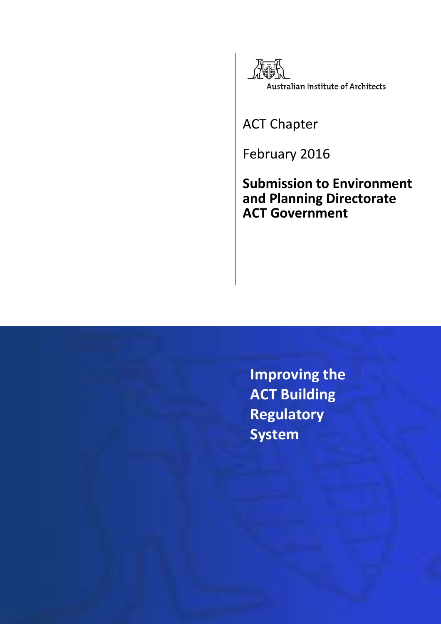

ACT Chapter

February 2016

**Submission to Environment and Planning Directorate ACT Government**

**Improving the ACT Building Regulatory System**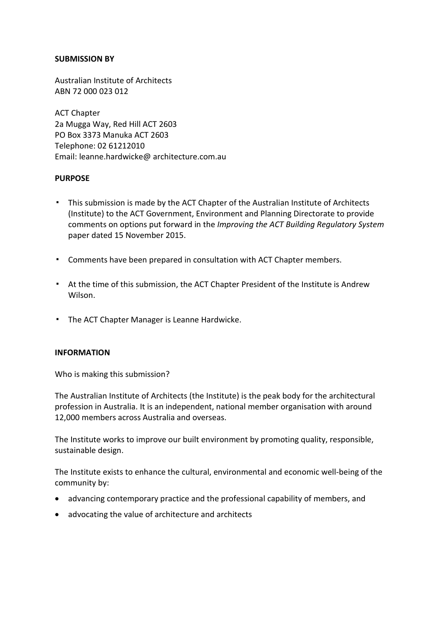#### **SUBMISSION BY**

Australian Institute of Architects ABN 72 000 023 012

ACT Chapter 2a Mugga Way, Red Hill ACT 2603 PO Box 3373 Manuka ACT 2603 Telephone: 02 61212010 Email: leanne.hardwicke@ architecture.com.au

#### **PURPOSE**

- This submission is made by the ACT Chapter of the Australian Institute of Architects (Institute) to the ACT Government, Environment and Planning Directorate to provide comments on options put forward in the *Improving the ACT Building Regulatory System* paper dated 15 November 2015.
- Comments have been prepared in consultation with ACT Chapter members.
- At the time of this submission, the ACT Chapter President of the Institute is Andrew Wilson.
- The ACT Chapter Manager is Leanne Hardwicke.

#### **INFORMATION**

Who is making this submission?

The Australian Institute of Architects (the Institute) is the peak body for the architectural profession in Australia. It is an independent, national member organisation with around 12,000 members across Australia and overseas.

The Institute works to improve our built environment by promoting quality, responsible, sustainable design.

The Institute exists to enhance the cultural, environmental and economic well-being of the community by:

- advancing contemporary practice and the professional capability of members, and
- advocating the value of architecture and architects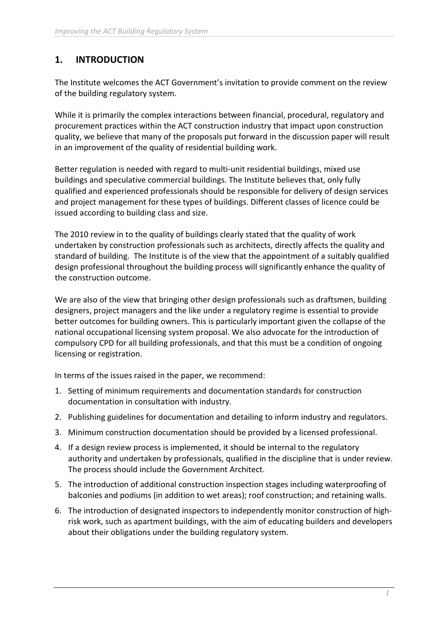# **1. INTRODUCTION**

The Institute welcomes the ACT Government's invitation to provide comment on the review of the building regulatory system.

While it is primarily the complex interactions between financial, procedural, regulatory and procurement practices within the ACT construction industry that impact upon construction quality, we believe that many of the proposals put forward in the discussion paper will result in an improvement of the quality of residential building work.

Better regulation is needed with regard to multi-unit residential buildings, mixed use buildings and speculative commercial buildings. The Institute believes that, only fully qualified and experienced professionals should be responsible for delivery of design services and project management for these types of buildings. Different classes of licence could be issued according to building class and size.

The 2010 review in to the quality of buildings clearly stated that the quality of work undertaken by construction professionals such as architects, directly affects the quality and standard of building. The Institute is of the view that the appointment of a suitably qualified design professional throughout the building process will significantly enhance the quality of the construction outcome.

We are also of the view that bringing other design professionals such as draftsmen, building designers, project managers and the like under a regulatory regime is essential to provide better outcomes for building owners. This is particularly important given the collapse of the national occupational licensing system proposal. We also advocate for the introduction of compulsory CPD for all building professionals, and that this must be a condition of ongoing licensing or registration.

In terms of the issues raised in the paper, we recommend:

- 1. Setting of minimum requirements and documentation standards for construction documentation in consultation with industry.
- 2. Publishing guidelines for documentation and detailing to inform industry and regulators.
- 3. Minimum construction documentation should be provided by a licensed professional.
- 4. If a design review process is implemented, it should be internal to the regulatory authority and undertaken by professionals, qualified in the discipline that is under review. The process should include the Government Architect.
- 5. The introduction of additional construction inspection stages including waterproofing of balconies and podiums (in addition to wet areas); roof construction; and retaining walls.
- 6. The introduction of designated inspectors to independently monitor construction of highrisk work, such as apartment buildings, with the aim of educating builders and developers about their obligations under the building regulatory system.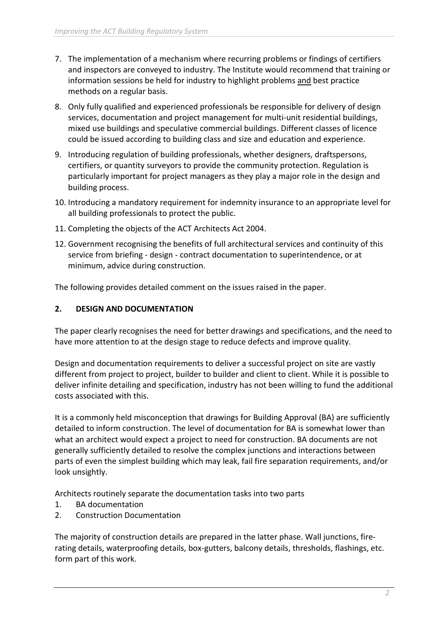- 7. The implementation of a mechanism where recurring problems or findings of certifiers and inspectors are conveyed to industry. The Institute would recommend that training or information sessions be held for industry to highlight problems and best practice methods on a regular basis.
- 8. Only fully qualified and experienced professionals be responsible for delivery of design services, documentation and project management for multi-unit residential buildings, mixed use buildings and speculative commercial buildings. Different classes of licence could be issued according to building class and size and education and experience.
- 9. Introducing regulation of building professionals, whether designers, draftspersons, certifiers, or quantity surveyors to provide the community protection. Regulation is particularly important for project managers as they play a major role in the design and building process.
- 10. Introducing a mandatory requirement for indemnity insurance to an appropriate level for all building professionals to protect the public.
- 11. Completing the objects of the ACT Architects Act 2004.
- 12. Government recognising the benefits of full architectural services and continuity of this service from briefing - design - contract documentation to superintendence, or at minimum, advice during construction.

The following provides detailed comment on the issues raised in the paper.

# **2. DESIGN AND DOCUMENTATION**

The paper clearly recognises the need for better drawings and specifications, and the need to have more attention to at the design stage to reduce defects and improve quality.

Design and documentation requirements to deliver a successful project on site are vastly different from project to project, builder to builder and client to client. While it is possible to deliver infinite detailing and specification, industry has not been willing to fund the additional costs associated with this.

It is a commonly held misconception that drawings for Building Approval (BA) are sufficiently detailed to inform construction. The level of documentation for BA is somewhat lower than what an architect would expect a project to need for construction. BA documents are not generally sufficiently detailed to resolve the complex junctions and interactions between parts of even the simplest building which may leak, fail fire separation requirements, and/or look unsightly.

Architects routinely separate the documentation tasks into two parts

- 1. BA documentation
- 2. Construction Documentation

The majority of construction details are prepared in the latter phase. Wall junctions, firerating details, waterproofing details, box-gutters, balcony details, thresholds, flashings, etc. form part of this work.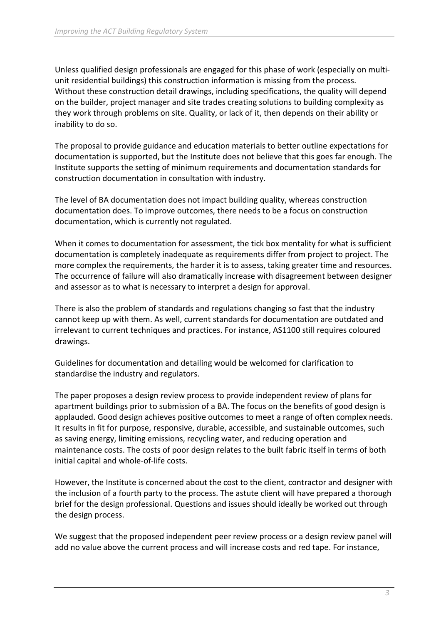Unless qualified design professionals are engaged for this phase of work (especially on multiunit residential buildings) this construction information is missing from the process. Without these construction detail drawings, including specifications, the quality will depend on the builder, project manager and site trades creating solutions to building complexity as they work through problems on site. Quality, or lack of it, then depends on their ability or inability to do so.

The proposal to provide guidance and education materials to better outline expectations for documentation is supported, but the Institute does not believe that this goes far enough. The Institute supports the setting of minimum requirements and documentation standards for construction documentation in consultation with industry.

The level of BA documentation does not impact building quality, whereas construction documentation does. To improve outcomes, there needs to be a focus on construction documentation, which is currently not regulated.

When it comes to documentation for assessment, the tick box mentality for what is sufficient documentation is completely inadequate as requirements differ from project to project. The more complex the requirements, the harder it is to assess, taking greater time and resources. The occurrence of failure will also dramatically increase with disagreement between designer and assessor as to what is necessary to interpret a design for approval.

There is also the problem of standards and regulations changing so fast that the industry cannot keep up with them. As well, current standards for documentation are outdated and irrelevant to current techniques and practices. For instance, AS1100 still requires coloured drawings.

Guidelines for documentation and detailing would be welcomed for clarification to standardise the industry and regulators.

The paper proposes a design review process to provide independent review of plans for apartment buildings prior to submission of a BA. The focus on the benefits of good design is applauded. Good design achieves positive outcomes to meet a range of often complex needs. It results in fit for purpose, responsive, durable, accessible, and sustainable outcomes, such as saving energy, limiting emissions, recycling water, and reducing operation and maintenance costs. The costs of poor design relates to the built fabric itself in terms of both initial capital and whole-of-life costs.

However, the Institute is concerned about the cost to the client, contractor and designer with the inclusion of a fourth party to the process. The astute client will have prepared a thorough brief for the design professional. Questions and issues should ideally be worked out through the design process.

We suggest that the proposed independent peer review process or a design review panel will add no value above the current process and will increase costs and red tape. For instance,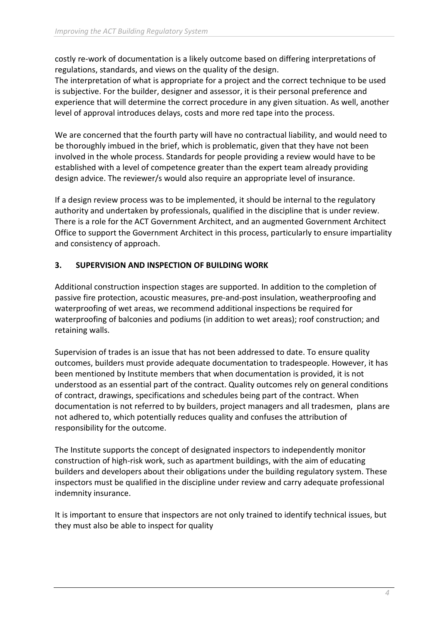costly re-work of documentation is a likely outcome based on differing interpretations of regulations, standards, and views on the quality of the design.

The interpretation of what is appropriate for a project and the correct technique to be used is subjective. For the builder, designer and assessor, it is their personal preference and experience that will determine the correct procedure in any given situation. As well, another level of approval introduces delays, costs and more red tape into the process.

We are concerned that the fourth party will have no contractual liability, and would need to be thoroughly imbued in the brief, which is problematic, given that they have not been involved in the whole process. Standards for people providing a review would have to be established with a level of competence greater than the expert team already providing design advice. The reviewer/s would also require an appropriate level of insurance.

If a design review process was to be implemented, it should be internal to the regulatory authority and undertaken by professionals, qualified in the discipline that is under review. There is a role for the ACT Government Architect, and an augmented Government Architect Office to support the Government Architect in this process, particularly to ensure impartiality and consistency of approach.

# **3. SUPERVISION AND INSPECTION OF BUILDING WORK**

Additional construction inspection stages are supported. In addition to the completion of passive fire protection, acoustic measures, pre-and-post insulation, weatherproofing and waterproofing of wet areas, we recommend additional inspections be required for waterproofing of balconies and podiums (in addition to wet areas); roof construction; and retaining walls.

Supervision of trades is an issue that has not been addressed to date. To ensure quality outcomes, builders must provide adequate documentation to tradespeople. However, it has been mentioned by Institute members that when documentation is provided, it is not understood as an essential part of the contract. Quality outcomes rely on general conditions of contract, drawings, specifications and schedules being part of the contract. When documentation is not referred to by builders, project managers and all tradesmen, plans are not adhered to, which potentially reduces quality and confuses the attribution of responsibility for the outcome.

The Institute supports the concept of designated inspectors to independently monitor construction of high-risk work, such as apartment buildings, with the aim of educating builders and developers about their obligations under the building regulatory system. These inspectors must be qualified in the discipline under review and carry adequate professional indemnity insurance.

It is important to ensure that inspectors are not only trained to identify technical issues, but they must also be able to inspect for quality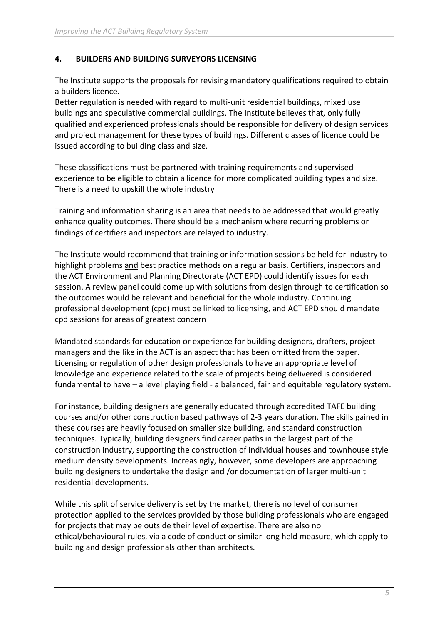#### **4. BUILDERS AND BUILDING SURVEYORS LICENSING**

The Institute supports the proposals for revising mandatory qualifications required to obtain a builders licence.

Better regulation is needed with regard to multi-unit residential buildings, mixed use buildings and speculative commercial buildings. The Institute believes that, only fully qualified and experienced professionals should be responsible for delivery of design services and project management for these types of buildings. Different classes of licence could be issued according to building class and size.

These classifications must be partnered with training requirements and supervised experience to be eligible to obtain a licence for more complicated building types and size. There is a need to upskill the whole industry

Training and information sharing is an area that needs to be addressed that would greatly enhance quality outcomes. There should be a mechanism where recurring problems or findings of certifiers and inspectors are relayed to industry.

The Institute would recommend that training or information sessions be held for industry to highlight problems and best practice methods on a regular basis. Certifiers, inspectors and the ACT Environment and Planning Directorate (ACT EPD) could identify issues for each session. A review panel could come up with solutions from design through to certification so the outcomes would be relevant and beneficial for the whole industry. Continuing professional development (cpd) must be linked to licensing, and ACT EPD should mandate cpd sessions for areas of greatest concern

Mandated standards for education or experience for building designers, drafters, project managers and the like in the ACT is an aspect that has been omitted from the paper. Licensing or regulation of other design professionals to have an appropriate level of knowledge and experience related to the scale of projects being delivered is considered fundamental to have – a level playing field - a balanced, fair and equitable regulatory system.

For instance, building designers are generally educated through accredited TAFE building courses and/or other construction based pathways of 2-3 years duration. The skills gained in these courses are heavily focused on smaller size building, and standard construction techniques. Typically, building designers find career paths in the largest part of the construction industry, supporting the construction of individual houses and townhouse style medium density developments. Increasingly, however, some developers are approaching building designers to undertake the design and /or documentation of larger multi-unit residential developments.

While this split of service delivery is set by the market, there is no level of consumer protection applied to the services provided by those building professionals who are engaged for projects that may be outside their level of expertise. There are also no ethical/behavioural rules, via a code of conduct or similar long held measure, which apply to building and design professionals other than architects.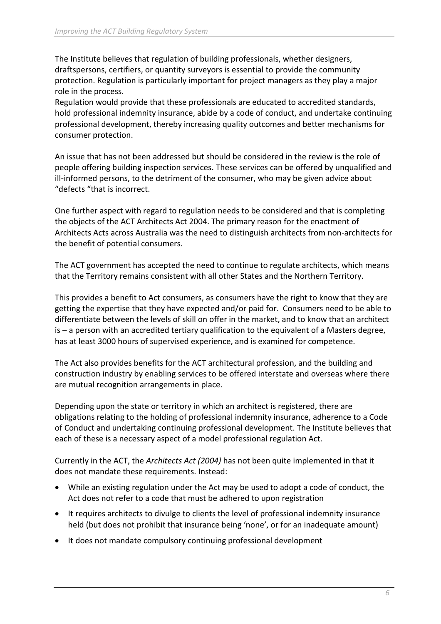The Institute believes that regulation of building professionals, whether designers, draftspersons, certifiers, or quantity surveyors is essential to provide the community protection. Regulation is particularly important for project managers as they play a major role in the process.

Regulation would provide that these professionals are educated to accredited standards, hold professional indemnity insurance, abide by a code of conduct, and undertake continuing professional development, thereby increasing quality outcomes and better mechanisms for consumer protection.

An issue that has not been addressed but should be considered in the review is the role of people offering building inspection services. These services can be offered by unqualified and ill-informed persons, to the detriment of the consumer, who may be given advice about "defects "that is incorrect.

One further aspect with regard to regulation needs to be considered and that is completing the objects of the ACT Architects Act 2004. The primary reason for the enactment of Architects Acts across Australia was the need to distinguish architects from non-architects for the benefit of potential consumers.

The ACT government has accepted the need to continue to regulate architects, which means that the Territory remains consistent with all other States and the Northern Territory.

This provides a benefit to Act consumers, as consumers have the right to know that they are getting the expertise that they have expected and/or paid for. Consumers need to be able to differentiate between the levels of skill on offer in the market, and to know that an architect is – a person with an accredited tertiary qualification to the equivalent of a Masters degree, has at least 3000 hours of supervised experience, and is examined for competence.

The Act also provides benefits for the ACT architectural profession, and the building and construction industry by enabling services to be offered interstate and overseas where there are mutual recognition arrangements in place.

Depending upon the state or territory in which an architect is registered, there are obligations relating to the holding of professional indemnity insurance, adherence to a Code of Conduct and undertaking continuing professional development. The Institute believes that each of these is a necessary aspect of a model professional regulation Act.

Currently in the ACT, the *Architects Act (2004)* has not been quite implemented in that it does not mandate these requirements. Instead:

- While an existing regulation under the Act may be used to adopt a code of conduct, the Act does not refer to a code that must be adhered to upon registration
- It requires architects to divulge to clients the level of professional indemnity insurance held (but does not prohibit that insurance being 'none', or for an inadequate amount)
- It does not mandate compulsory continuing professional development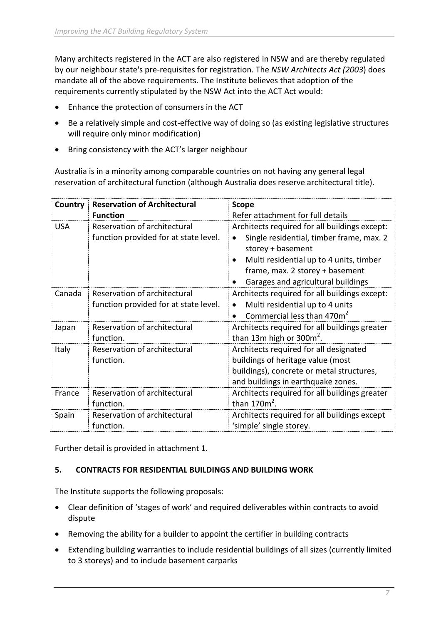Many architects registered in the ACT are also registered in NSW and are thereby regulated by our neighbour state's pre-requisites for registration. The *NSW Architects Act (2003*) does mandate all of the above requirements. The Institute believes that adoption of the requirements currently stipulated by the NSW Act into the ACT Act would:

- Enhance the protection of consumers in the ACT
- Be a relatively simple and cost-effective way of doing so (as existing legislative structures will require only minor modification)
- Bring consistency with the ACT's larger neighbour

Australia is in a minority among comparable countries on not having any general legal reservation of architectural function (although Australia does reserve architectural title).

| Country    | <b>Reservation of Architectural</b>                                   | <b>Scope</b>                                                                                                                                                                                                                       |
|------------|-----------------------------------------------------------------------|------------------------------------------------------------------------------------------------------------------------------------------------------------------------------------------------------------------------------------|
|            | <b>Function</b>                                                       | Refer attachment for full details                                                                                                                                                                                                  |
| <b>USA</b> | Reservation of architectural<br>function provided for at state level. | Architects required for all buildings except:<br>Single residential, timber frame, max. 2<br>storey + basement<br>Multi residential up to 4 units, timber<br>frame, max. 2 storey + basement<br>Garages and agricultural buildings |
| Canada     | Reservation of architectural<br>function provided for at state level. | Architects required for all buildings except:<br>Multi residential up to 4 units<br>Commercial less than 470m <sup>2</sup>                                                                                                         |
| Japan      | Reservation of architectural<br>function.                             | Architects required for all buildings greater<br>than 13m high or 300 $m2$ .                                                                                                                                                       |
| Italy      | Reservation of architectural<br>function.                             | Architects required for all designated<br>buildings of heritage value (most<br>buildings), concrete or metal structures,<br>and buildings in earthquake zones.                                                                     |
| France     | Reservation of architectural<br>function.                             | Architects required for all buildings greater<br>than $170m^2$ .                                                                                                                                                                   |
| Spain      | Reservation of architectural<br>function.                             | Architects required for all buildings except<br>'simple' single storey.                                                                                                                                                            |

Further detail is provided in attachment 1.

# **5. CONTRACTS FOR RESIDENTIAL BUILDINGS AND BUILDING WORK**

The Institute supports the following proposals:

- Clear definition of 'stages of work' and required deliverables within contracts to avoid dispute
- Removing the ability for a builder to appoint the certifier in building contracts
- Extending building warranties to include residential buildings of all sizes (currently limited to 3 storeys) and to include basement carparks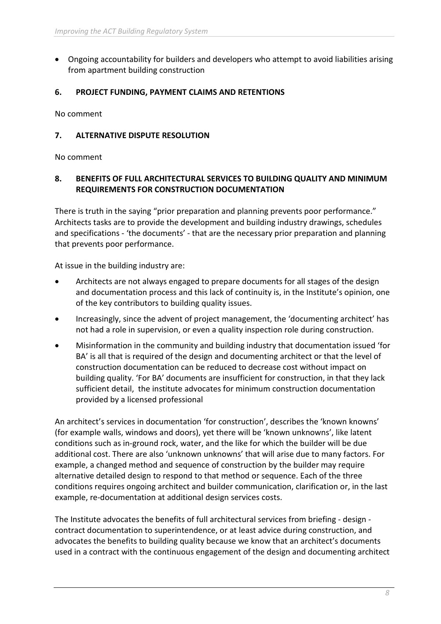• Ongoing accountability for builders and developers who attempt to avoid liabilities arising from apartment building construction

## **6. PROJECT FUNDING, PAYMENT CLAIMS AND RETENTIONS**

No comment

## **7. ALTERNATIVE DISPUTE RESOLUTION**

No comment

### **8. BENEFITS OF FULL ARCHITECTURAL SERVICES TO BUILDING QUALITY AND MINIMUM REQUIREMENTS FOR CONSTRUCTION DOCUMENTATION**

There is truth in the saying "prior preparation and planning prevents poor performance." Architects tasks are to provide the development and building industry drawings, schedules and specifications - 'the documents' - that are the necessary prior preparation and planning that prevents poor performance.

At issue in the building industry are:

- Architects are not always engaged to prepare documents for all stages of the design and documentation process and this lack of continuity is, in the Institute's opinion, one of the key contributors to building quality issues.
- Increasingly, since the advent of project management, the 'documenting architect' has not had a role in supervision, or even a quality inspection role during construction.
- Misinformation in the community and building industry that documentation issued 'for BA' is all that is required of the design and documenting architect or that the level of construction documentation can be reduced to decrease cost without impact on building quality. 'For BA' documents are insufficient for construction, in that they lack sufficient detail, the institute advocates for minimum construction documentation provided by a licensed professional

An architect's services in documentation 'for construction', describes the 'known knowns' (for example walls, windows and doors), yet there will be 'known unknowns', like latent conditions such as in-ground rock, water, and the like for which the builder will be due additional cost. There are also 'unknown unknowns' that will arise due to many factors. For example, a changed method and sequence of construction by the builder may require alternative detailed design to respond to that method or sequence. Each of the three conditions requires ongoing architect and builder communication, clarification or, in the last example, re-documentation at additional design services costs.

The Institute advocates the benefits of full architectural services from briefing - design contract documentation to superintendence, or at least advice during construction, and advocates the benefits to building quality because we know that an architect's documents used in a contract with the continuous engagement of the design and documenting architect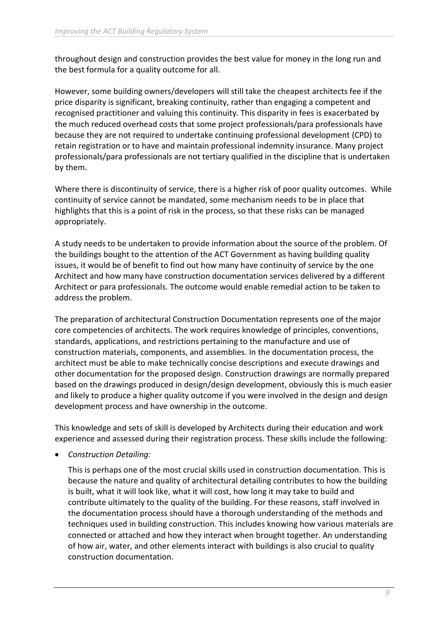throughout design and construction provides the best value for money in the long run and the best formula for a quality outcome for all.

However, some building owners/developers will still take the cheapest architects fee if the price disparity is significant, breaking continuity, rather than engaging a competent and recognised practitioner and valuing this continuity. This disparity in fees is exacerbated by the much reduced overhead costs that some project professionals/para professionals have because they are not required to undertake continuing professional development (CPD) to retain registration or to have and maintain professional indemnity insurance. Many project professionals/para professionals are not tertiary qualified in the discipline that is undertaken by them.

Where there is discontinuity of service, there is a higher risk of poor quality outcomes. While continuity of service cannot be mandated, some mechanism needs to be in place that highlights that this is a point of risk in the process, so that these risks can be managed appropriately.

A study needs to be undertaken to provide information about the source of the problem. Of the buildings bought to the attention of the ACT Government as having building quality issues, it would be of benefit to find out how many have continuity of service by the one Architect and how many have construction documentation services delivered by a different Architect or para professionals. The outcome would enable remedial action to be taken to address the problem.

The preparation of architectural Construction Documentation represents one of the major core competencies of architects. The work requires knowledge of principles, conventions, standards, applications, and restrictions pertaining to the manufacture and use of construction materials, components, and assemblies. In the documentation process, the architect must be able to make technically concise descriptions and execute drawings and other documentation for the proposed design. Construction drawings are normally prepared based on the drawings produced in design/design development, obviously this is much easier and likely to produce a higher quality outcome if you were involved in the design and design development process and have ownership in the outcome.

This knowledge and sets of skill is developed by Architects during their education and work experience and assessed during their registration process. These skills include the following:

• *Construction Detailing:*

This is perhaps one of the most crucial skills used in construction documentation. This is because the nature and quality of architectural detailing contributes to how the building is built, what it will look like, what it will cost, how long it may take to build and contribute ultimately to the quality of the building. For these reasons, staff involved in the documentation process should have a thorough understanding of the methods and techniques used in building construction. This includes knowing how various materials are connected or attached and how they interact when brought together. An understanding of how air, water, and other elements interact with buildings is also crucial to quality construction documentation.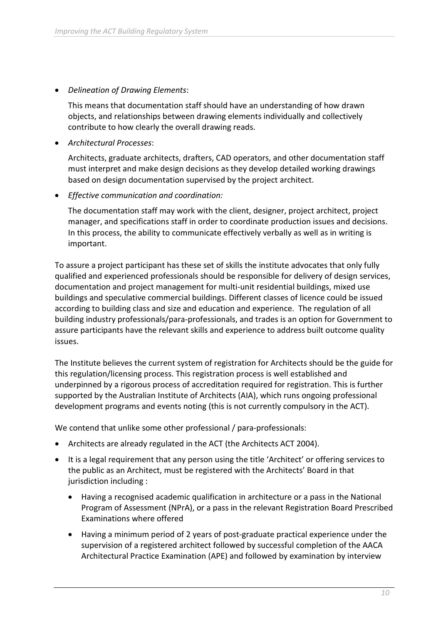• *Delineation of Drawing Elements*:

This means that documentation staff should have an understanding of how drawn objects, and relationships between drawing elements individually and collectively contribute to how clearly the overall drawing reads.

• *Architectural Processes*:

Architects, graduate architects, drafters, CAD operators, and other documentation staff must interpret and make design decisions as they develop detailed working drawings based on design documentation supervised by the project architect.

• *Effective communication and coordination:*

The documentation staff may work with the client, designer, project architect, project manager, and specifications staff in order to coordinate production issues and decisions. In this process, the ability to communicate effectively verbally as well as in writing is important.

To assure a project participant has these set of skills the institute advocates that only fully qualified and experienced professionals should be responsible for delivery of design services, documentation and project management for multi-unit residential buildings, mixed use buildings and speculative commercial buildings. Different classes of licence could be issued according to building class and size and education and experience. The regulation of all building industry professionals/para-professionals, and trades is an option for Government to assure participants have the relevant skills and experience to address built outcome quality issues.

The Institute believes the current system of registration for Architects should be the guide for this regulation/licensing process. This registration process is well established and underpinned by a rigorous process of accreditation required for registration. This is further supported by the Australian Institute of Architects (AIA), which runs ongoing professional development programs and events noting (this is not currently compulsory in the ACT).

We contend that unlike some other professional / para-professionals:

- Architects are already regulated in the ACT (the Architects ACT 2004).
- It is a legal requirement that any person using the title 'Architect' or offering services to the public as an Architect, must be registered with the Architects' Board in that jurisdiction including :
	- Having a recognised academic qualification in architecture or a pass in the National Program of Assessment (NPrA), or a pass in the relevant Registration Board Prescribed Examinations where offered
	- Having a minimum period of 2 years of post-graduate practical experience under the supervision of a registered architect followed by successful completion of the AACA Architectural Practice Examination (APE) and followed by examination by interview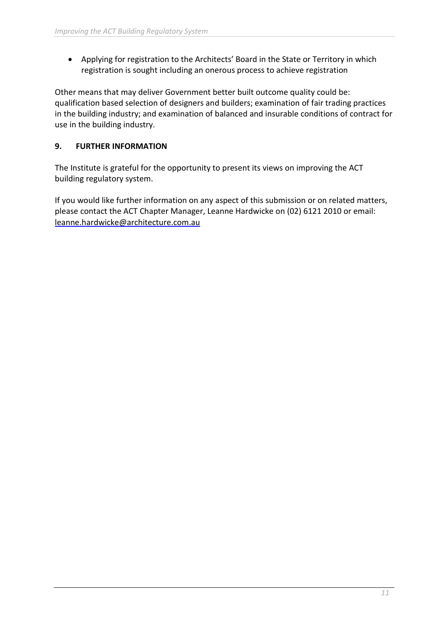• Applying for registration to the Architects' Board in the State or Territory in which registration is sought including an onerous process to achieve registration

Other means that may deliver Government better built outcome quality could be: qualification based selection of designers and builders; examination of fair trading practices in the building industry; and examination of balanced and insurable conditions of contract for use in the building industry.

# **9. FURTHER INFORMATION**

The Institute is grateful for the opportunity to present its views on improving the ACT building regulatory system.

If you would like further information on any aspect of this submission or on related matters, please contact the ACT Chapter Manager, Leanne Hardwicke on (02) 6121 2010 or email: [leanne.hardwicke@architecture.com.au](mailto:leanne.hardwicke@architecture.com.au)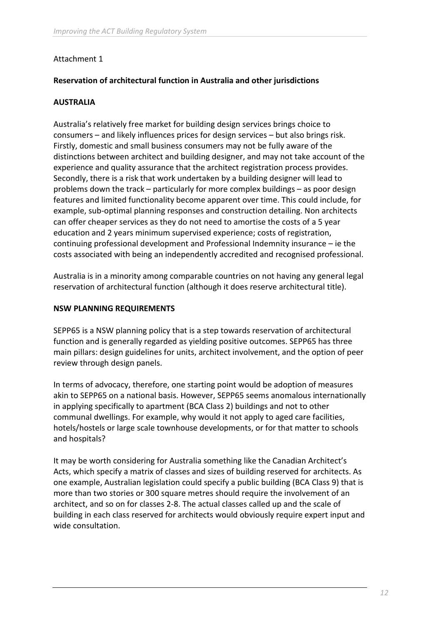### Attachment 1

### **Reservation of architectural function in Australia and other jurisdictions**

#### **AUSTRALIA**

Australia's relatively free market for building design services brings choice to consumers – and likely influences prices for design services – but also brings risk. Firstly, domestic and small business consumers may not be fully aware of the distinctions between architect and building designer, and may not take account of the experience and quality assurance that the architect registration process provides. Secondly, there is a risk that work undertaken by a building designer will lead to problems down the track – particularly for more complex buildings – as poor design features and limited functionality become apparent over time. This could include, for example, sub-optimal planning responses and construction detailing. Non architects can offer cheaper services as they do not need to amortise the costs of a 5 year education and 2 years minimum supervised experience; costs of registration, continuing professional development and Professional Indemnity insurance – ie the costs associated with being an independently accredited and recognised professional.

Australia is in a minority among comparable countries on not having any general legal reservation of architectural function (although it does reserve architectural title).

#### **NSW PLANNING REQUIREMENTS**

SEPP65 is a NSW planning policy that is a step towards reservation of architectural function and is generally regarded as yielding positive outcomes. SEPP65 has three main pillars: design guidelines for units, architect involvement, and the option of peer review through design panels.

In terms of advocacy, therefore, one starting point would be adoption of measures akin to SEPP65 on a national basis. However, SEPP65 seems anomalous internationally in applying specifically to apartment (BCA Class 2) buildings and not to other communal dwellings. For example, why would it not apply to aged care facilities, hotels/hostels or large scale townhouse developments, or for that matter to schools and hospitals?

It may be worth considering for Australia something like the Canadian Architect's Acts, which specify a matrix of classes and sizes of building reserved for architects. As one example, Australian legislation could specify a public building (BCA Class 9) that is more than two stories or 300 square metres should require the involvement of an architect, and so on for classes 2-8. The actual classes called up and the scale of building in each class reserved for architects would obviously require expert input and wide consultation.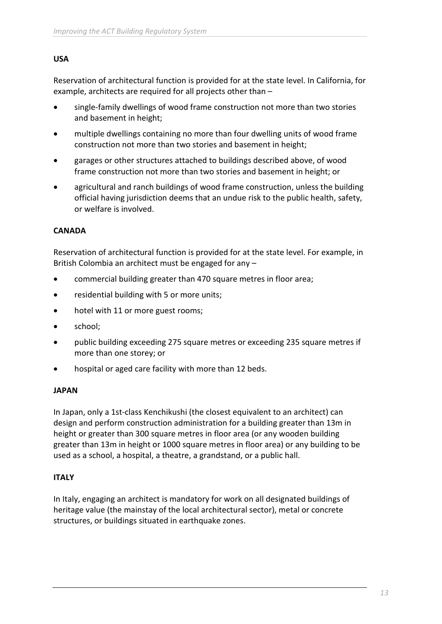#### **USA**

Reservation of architectural function is provided for at the state level. In California, for example, architects are required for all projects other than –

- single-family dwellings of wood frame construction not more than two stories and basement in height;
- multiple dwellings containing no more than four dwelling units of wood frame construction not more than two stories and basement in height;
- garages or other structures attached to buildings described above, of wood frame construction not more than two stories and basement in height; or
- agricultural and ranch buildings of wood frame construction, unless the building official having jurisdiction deems that an undue risk to the public health, safety, or welfare is involved.

### **CANADA**

Reservation of architectural function is provided for at the state level. For example, in British Colombia an architect must be engaged for any –

- commercial building greater than 470 square metres in floor area;
- residential building with 5 or more units;
- hotel with 11 or more guest rooms;
- school;
- public building exceeding 275 square metres or exceeding 235 square metres if more than one storey; or
- hospital or aged care facility with more than 12 beds.

#### **JAPAN**

In Japan, only a 1st-class Kenchikushi (the closest equivalent to an architect) can design and perform construction administration for a building greater than 13m in height or greater than 300 square metres in floor area (or any wooden building greater than 13m in height or 1000 square metres in floor area) or any building to be used as a school, a hospital, a theatre, a grandstand, or a public hall.

#### **ITALY**

In Italy, engaging an architect is mandatory for work on all designated buildings of heritage value (the mainstay of the local architectural sector), metal or concrete structures, or buildings situated in earthquake zones.